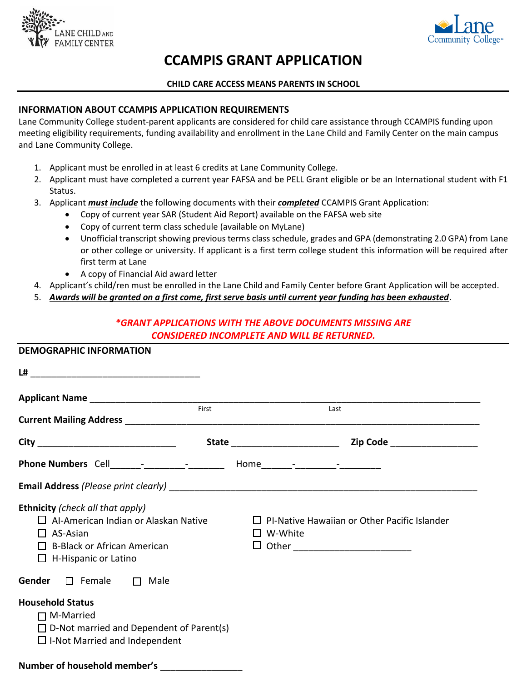



# **CCAMPIS GRANT APPLICATION**

### **CHILD CARE ACCESS MEANS PARENTS IN SCHOOL**

## **INFORMATION ABOUT CCAMPIS APPLICATION REQUIREMENTS**

Lane Community College student-parent applicants are considered for child care assistance through CCAMPIS funding upon meeting eligibility requirements, funding availability and enrollment in the Lane Child and Family Center on the main campus and Lane Community College.

- 1. Applicant must be enrolled in at least 6 credits at Lane Community College.
- 2. Applicant must have completed a current year FAFSA and be PELL Grant eligible or be an International student with F1 Status.
- 3. Applicant *must include* the following documents with their *completed* CCAMPIS Grant Application:
	- Copy of current year SAR (Student Aid Report) available on the FAFSA web site
	- Copy of current term class schedule (available on MyLane)
	- Unofficial transcript showing previous terms class schedule, grades and GPA (demonstrating 2.0 GPA) from Lane or other college or university. If applicant is a first term college student this information will be required after first term at Lane
	- A copy of Financial Aid award letter
- 4. Applicant's child/ren must be enrolled in the Lane Child and Family Center before Grant Application will be accepted.
- 5. *Awards will be granted on a first come, first serve basis until current year funding has been exhausted*.

# *\*GRANT APPLICATIONS WITH THE ABOVE DOCUMENTS MISSING ARE CONSIDERED INCOMPLETE AND WILL BE RETURNED.*

| <b>DEMOGRAPHIC INFORMATION</b>                                                                                                                                          |       |                                                                                                                    |  |
|-------------------------------------------------------------------------------------------------------------------------------------------------------------------------|-------|--------------------------------------------------------------------------------------------------------------------|--|
|                                                                                                                                                                         |       |                                                                                                                    |  |
|                                                                                                                                                                         | First | Last                                                                                                               |  |
|                                                                                                                                                                         |       |                                                                                                                    |  |
|                                                                                                                                                                         |       |                                                                                                                    |  |
|                                                                                                                                                                         |       |                                                                                                                    |  |
| Ethnicity (check all that apply)<br>$\Box$ Al-American Indian or Alaskan Native<br>$\Box$ AS-Asian<br>$\Box$ B-Black or African American<br>$\Box$ H-Hispanic or Latino |       | $\Box$ PI-Native Hawaiian or Other Pacific Islander<br>$\Box$ W-White<br>$\Box$ Other ____________________________ |  |
| <b>Gender</b> $\Box$ Female $\Box$ Male                                                                                                                                 |       |                                                                                                                    |  |
| <b>Household Status</b><br>$\Box$ M-Married<br>$\Box$ D-Not married and Dependent of Parent(s)<br>$\Box$ I-Not Married and Independent<br>Number of household member's  |       |                                                                                                                    |  |